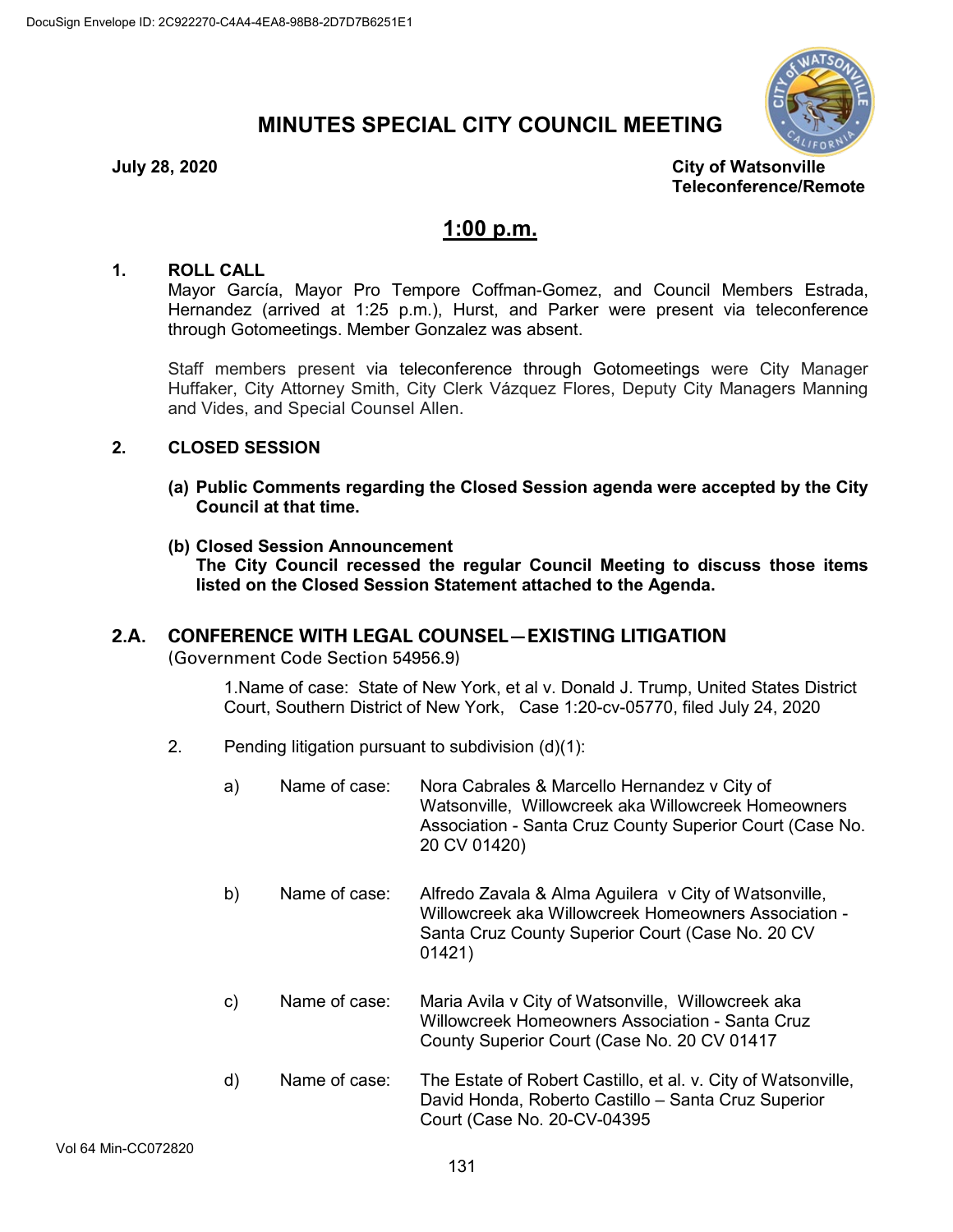# **MINUTES SPECIAL CITY COUNCIL MEETING**



**July 28, 2020 City of Watsonville Teleconference/Remote**

# **1:00 p.m.**

### **1. ROLL CALL**

Mayor García, Mayor Pro Tempore Coffman-Gomez, and Council Members Estrada, Hernandez (arrived at 1:25 p.m.), Hurst, and Parker were present via teleconference through Gotomeetings. Member Gonzalez was absent.

Staff members present via teleconference through Gotomeetings were City Manager Huffaker, City Attorney Smith, City Clerk Vázquez Flores, Deputy City Managers Manning and Vides, and Special Counsel Allen.

### **2. CLOSED SESSION**

- **(a) Public Comments regarding the Closed Session agenda were accepted by the City Council at that time.**
- **(b) Closed Session Announcement The City Council recessed the regular Council Meeting to discuss those items listed on the Closed Session Statement attached to the Agenda.**

# **2.A. CONFERENCE WITH LEGAL COUNSEL—EXISTING LITIGATION**

(Government Code Section 54956.9)

1.Name of case: State of New York, et al v. Donald J. Trump, United States District Court, Southern District of New York, Case 1:20-cv-05770, filed July 24, 2020

2. Pending litigation pursuant to subdivision (d)(1):

| a) | Name of case: | Nora Cabrales & Marcello Hernandez v City of<br>Watsonville, Willowcreek aka Willowcreek Homeowners<br>Association - Santa Cruz County Superior Court (Case No.<br>20 CV 01420) |
|----|---------------|---------------------------------------------------------------------------------------------------------------------------------------------------------------------------------|
| b) | Name of case: | Alfredo Zavala & Alma Aguilera v City of Watsonville,<br>Willowcreek aka Willowcreek Homeowners Association -<br>Santa Cruz County Superior Court (Case No. 20 CV<br>01421)     |
| c) | Name of case: | Maria Avila v City of Watsonville, Willowcreek aka<br>Willowcreek Homeowners Association - Santa Cruz<br>County Superior Court (Case No. 20 CV 01417                            |
| d) | Name of case: | The Estate of Robert Castillo, et al. v. City of Watsonville,<br>David Honda, Roberto Castillo – Santa Cruz Superior<br>Court (Case No. 20-CV-04395                             |